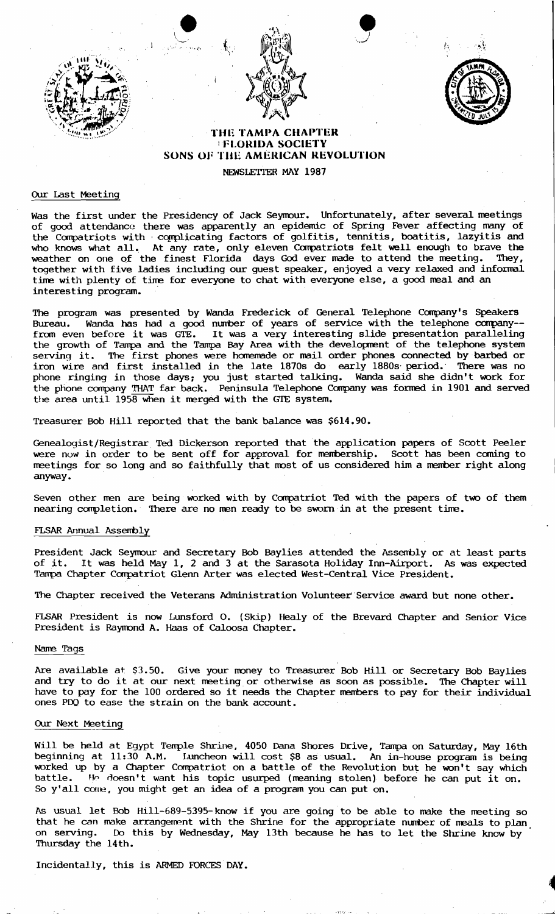





# THE TAMPA CHAPTER **IFLORIDA SOCIETY** SONS OF THE AMERICAN REVOLUTION

NEWSLETTER MAY 1987

#### OUr Last Meeting

Was the first under the Presidency of Jack Seymour. Unfortunately, after several meetings of good attendance there was apparently an epidemic of Spring Fever affecting many of the Compatriots with complicating factors of golfitis, tennitis, boatitis, lazyitis and who knows what all. At any rate, only eleven Compatriots felt well enough to brave the weather on one of the finest Florida days God ever made to attend the meeting. They, together with five ladies including our guest speaker, enjoyed a very relaxed and infornal time with plenty of time for everyone to chat with everyone else, a good meal and an interesting program. .

The program was presented by Wanda Frederick of General Telephone Company's Speakers Bureau. Wanda has had a good nurrber of years of service with the telephone carpany- fran even before it was GTE. It was a very interesting slide presentation paralleling the growth of Tampa and the Tampa Bay Area with the developrent of the telephone system serving it. The first phones were homemade or mail order phones connected by barbed or iron wire and first installed in the late 1870s do' early 1880s' period.' There was no phone ringing in those days: you just started talking. Wanda said she didn't work for the phone company THAT far back. Peninsula Telephone Company was formed in 1901 and served the area until 1958 when it merged with the GTE system.

Treasurer Bob Hill reported that the bank. balance was \$614.90.

 $\bullet$ .

 $\mathbf{k}_{\mathrm{c}}$ 

Genealogist/Registrar Ted Dickerson reported that the application papers of Scott Peeler were now in order to be sent off for approval for membership. Scott has been coming to meetings for so long and so faithfully that most of us considered him a member right along anyway.

Seven other men are being worked with by Compatriot Ted with the papers of two of them nearing completion. There are no men ready to be sworn in at the present time.

### FLSAR Annual Asserrbly

President Jack Seymour and Secretary Bob Baylies attended the Assembly or at least parts of it. It was held May 1, 2 and 3 at the Sarasota Holiday Inn-Airport. As was expected Tampa Chapter Compatriot Glenn Arter was elected West-Central Vice President.

The Chapter received the Veterans Administration Volunteer'Service award but none other.

FLSAR President is now Lunsford O. (Skip) Healy of the Brevard Chapter and Senior Vice President is Raymond A. Haas of Caloosa Chapter.

#### Nane Tags

Are available at \$3.50. Give your money to Treasurer Bob Hill or Secretary Bob Baylies and try to do it at our next meeting or otherwise as soon as possible. The Chapter will have to pay for the 100 ordered so it needs the Chapter nernbers to pay for their individual ones PDQ to ease the strain on the bank account.

## OUr Next Meeting

Will be held at Egypt Tenple Shrine, 4050 Dana Shores Drive, Tampa on Saturday, May 16th beginning at 11:30 A.M. Luncheon will cost \$8 as usuaL An in-house program is being worked up by a Chapter Compatriot on a battle of the Revolution but he won't say which<br>battle. He doesn't want his topic usurped (meaning stolen) before he can put it on  $\overline{1}$  He doesn't want his topic usurped (meaning stolen) before he can put it on. So y'all cone, you might get an idea of a program you can put on.

As usual let Bob Hill-689-5395-know if you are going to be able to make the meeting so that he can make arrangement with the Shrine for the appropriate number of meals to plan on serving. Do this by Wednesday, May 13th because he has to let the Shrine know by Thursday the 14th.

Incidentally, this is ARMED FORCES DAY.